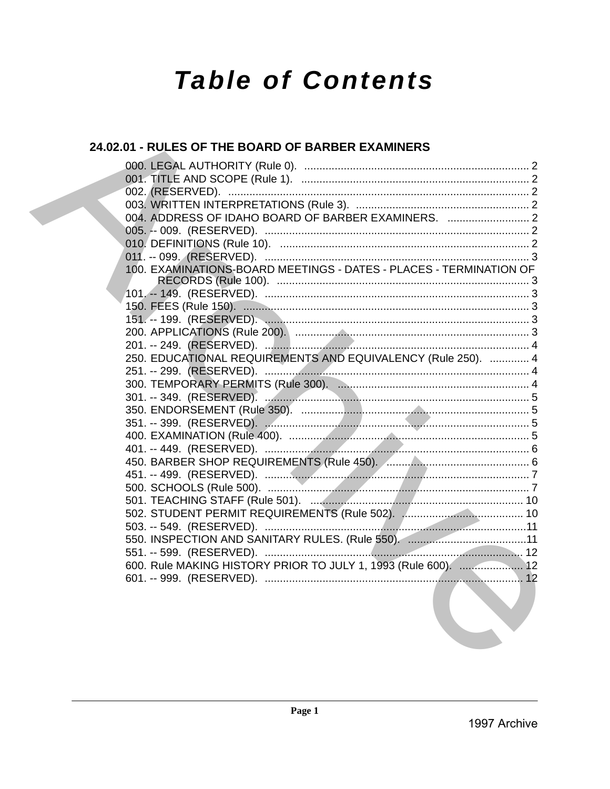# **Table of Contents**

### 24.02.01 - RULES OF THE BOARD OF BARBER EXAMINERS

| 004. ADDRESS OF IDAHO BOARD OF BARBER EXAMINERS.  2                                                             |  |
|-----------------------------------------------------------------------------------------------------------------|--|
|                                                                                                                 |  |
|                                                                                                                 |  |
|                                                                                                                 |  |
| 100. EXAMINATIONS-BOARD MEETINGS - DATES - PLACES - TERMINATION OF                                              |  |
|                                                                                                                 |  |
|                                                                                                                 |  |
|                                                                                                                 |  |
|                                                                                                                 |  |
|                                                                                                                 |  |
|                                                                                                                 |  |
| 250. EDUCATIONAL REQUIREMENTS AND EQUIVALENCY (Rule 250).  4                                                    |  |
|                                                                                                                 |  |
|                                                                                                                 |  |
|                                                                                                                 |  |
|                                                                                                                 |  |
|                                                                                                                 |  |
|                                                                                                                 |  |
|                                                                                                                 |  |
|                                                                                                                 |  |
|                                                                                                                 |  |
|                                                                                                                 |  |
|                                                                                                                 |  |
|                                                                                                                 |  |
|                                                                                                                 |  |
|                                                                                                                 |  |
|                                                                                                                 |  |
| 600. Rule MAKING HISTORY PRIOR TO JULY 1, 1993 (Rule 600).  12                                                  |  |
| the contract of the contract of the contract of the contract of the contract of the contract of the contract of |  |
|                                                                                                                 |  |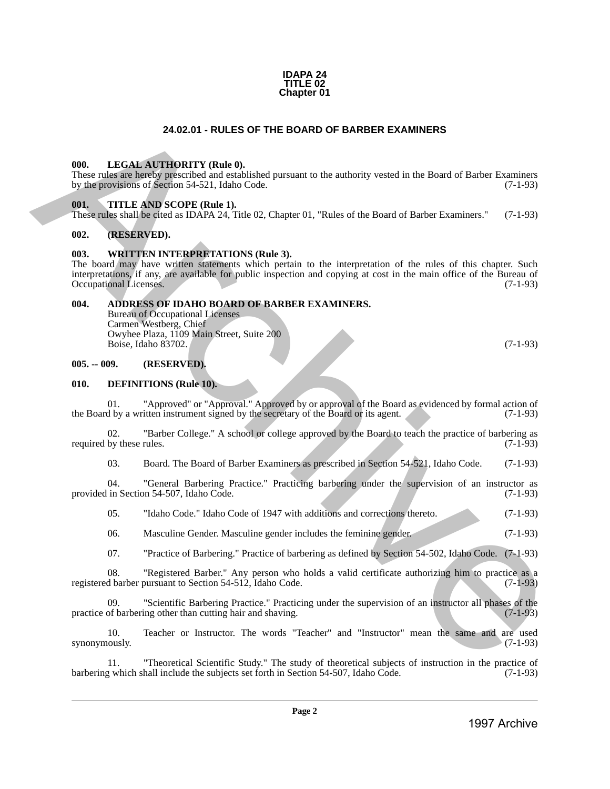#### **IDAPA 24 TITLE 02 Chapter 01**

#### **24.02.01 - RULES OF THE BOARD OF BARBER EXAMINERS**

#### <span id="page-1-1"></span><span id="page-1-0"></span>**000. LEGAL AUTHORITY (Rule 0).**

These rules are hereby prescribed and established pursuant to the authority vested in the Board of Barber Examiners by the provisions of Section 54-521, Idaho Code. (7-1-93) by the provisions of Section 54-521, Idaho Code.

#### <span id="page-1-2"></span>**001. TITLE AND SCOPE (Rule 1).**

These rules shall be cited as IDAPA 24, Title 02, Chapter 01, "Rules of the Board of Barber Examiners." (7-1-93)

#### <span id="page-1-3"></span>**002. (RESERVED).**

#### <span id="page-1-4"></span>**003. WRITTEN INTERPRETATIONS (Rule 3).**

The board may have written statements which pertain to the interpretation of the rules of this chapter. Such interpretations, if any, are available for public inspection and copying at cost in the main office of the Bureau of Occupational Licenses. (7-1-93) Occupational Licenses. 24.02.01 - RULES OF THE BOARD OF BARBER EXAMINERS<br>
1998. LITGAL AT THOMPTY (Red. 6).<br>
1998. LITTLE AND SCOPET (Red. E.).<br>
1997. LITTLE AND SCOPET (Red. E.).<br>
1997. LITTLE AND SCOPE (Red. E.).<br>
1997. LITTLE AND SCOPE (Red.

#### <span id="page-1-5"></span>**004. ADDRESS OF IDAHO BOARD OF BARBER EXAMINERS.**

Bureau of Occupational Licenses Carmen Westberg, Chief Owyhee Plaza, 1109 Main Street, Suite 200 Boise, Idaho 83702. (7-1-93)

#### <span id="page-1-6"></span>**005. -- 009. (RESERVED).**

#### <span id="page-1-7"></span>**010. DEFINITIONS (Rule 10).**

01. "Approved" or "Approval." Approved by or approval of the Board as evidenced by formal action of d by a written instrument signed by the secretary of the Board or its agent. the Board by a written instrument signed by the secretary of the Board or its agent.

02. "Barber College." A school or college approved by the Board to teach the practice of barbering as by these rules. (7-1-93) required by these rules.

03. Board. The Board of Barber Examiners as prescribed in Section 54-521, Idaho Code. (7-1-93)

04. "General Barbering Practice." Practicing barbering under the supervision of an instructor as provided in Section 54-507, Idaho Code. (7-1-93)

05. "Idaho Code." Idaho Code of 1947 with additions and corrections thereto. (7-1-93)

06. Masculine Gender. Masculine gender includes the feminine gender. (7-1-93)

07. "Practice of Barbering." Practice of barbering as defined by Section 54-502, Idaho Code. (7-1-93)

08. "Registered Barber." Any person who holds a valid certificate authorizing him to practice as a registered barber pursuant to Section 54-512, Idaho Code. (7-1-93)

09. "Scientific Barbering Practice." Practicing under the supervision of an instructor all phases of the of barbering other than cutting hair and shaving. (7-1-93) practice of barbering other than cutting hair and shaving.

10. Teacher or Instructor. The words "Teacher" and "Instructor" mean the same and are used synonymously.  $(7-1-93)$ 

11. "Theoretical Scientific Study." The study of theoretical subjects of instruction in the practice of y which shall include the subjects set forth in Section 54-507, Idaho Code. (7-1-93) barbering which shall include the subjects set forth in Section 54-507, Idaho Code.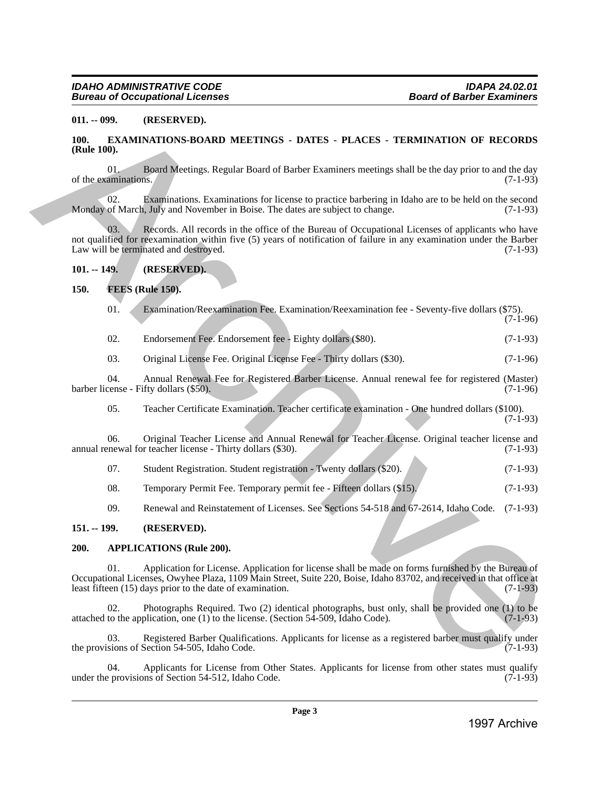#### <span id="page-2-0"></span>**011. -- 099. (RESERVED).**

#### <span id="page-2-1"></span>**100. EXAMINATIONS-BOARD MEETINGS - DATES - PLACES - TERMINATION OF RECORDS (Rule 100).**

01. Board Meetings. Regular Board of Barber Examiners meetings shall be the day prior to and the day of the examinations.

02. Examinations. Examinations for license to practice barbering in Idaho are to be held on the second Monday of March, July and November in Boise. The dates are subject to change. (7-1-93)

Records. All records in the office of the Bureau of Occupational Licenses of applicants who have not qualified for reexamination within five (5) years of notification of failure in any examination under the Barber<br>Law will be terminated and destroved. (7-1-93) Law will be terminated and destroyed. 911. – 699. (ALESSENDER)<br>
1998. – GALAMENTONS BOARD MEETINGS - DATIES - PLACES - TERNINXITON OF RECORDS<br>
1998. – FRAMENTONS BOARD MEETINGS - DATIES - TERNINXITON OF RECORDS<br>
1997. – The membrines Experimental of Further F

#### <span id="page-2-2"></span>**101. -- 149. (RESERVED).**

#### <span id="page-2-3"></span>**150. FEES (Rule 150).**

| 01. |  |  | Examination/Reexamination Fee. Examination/Reexamination fee - Seventy-five dollars (\$75). |
|-----|--|--|---------------------------------------------------------------------------------------------|
|     |  |  |                                                                                             |

(7-1-96)

02. Endorsement Fee. Endorsement fee - Eighty dollars (\$80). (7-1-93)

03. Original License Fee. Original License Fee - Thirty dollars (\$30). (7-1-96)

04. Annual Renewal Fee for Registered Barber License. Annual renewal fee for registered (Master)<br>cense - Fifty dollars (\$50). (7-1-96) barber license - Fifty dollars (\$50).

05. Teacher Certificate Examination. Teacher certificate examination - One hundred dollars (\$100). (7-1-93)

06. Original Teacher License and Annual Renewal for Teacher License. Original teacher license and annual renewal for teacher license - Thirty dollars (\$30). (7-1-93)

| 07. | Student Registration. Student registration - Twenty dollars (\$20). |  | $(7-1-93)$ |
|-----|---------------------------------------------------------------------|--|------------|
|     |                                                                     |  |            |
|     |                                                                     |  |            |

08. Temporary Permit Fee. Temporary permit fee - Fifteen dollars (\$15). (7-1-93)

09. Renewal and Reinstatement of Licenses. See Sections 54-518 and 67-2614, Idaho Code. (7-1-93)

#### <span id="page-2-4"></span>**151. -- 199. (RESERVED).**

#### <span id="page-2-5"></span>**200. APPLICATIONS (Rule 200).**

01. Application for License. Application for license shall be made on forms furnished by the Bureau of Occupational Licenses, Owyhee Plaza, 1109 Main Street, Suite 220, Boise, Idaho 83702, and received in that office at least fifteen (15) days prior to the date of examination. (7-1-93)

Photographs Required. Two (2) identical photographs, bust only, shall be provided one (1) to be plication, one (1) to the license. (Section 54-509, Idaho Code).  $(7-1-93)$ attached to the application, one  $(1)$  to the license. (Section 54-509, Idaho Code).

03. Registered Barber Qualifications. Applicants for license as a registered barber must qualify under isions of Section 54-505, Idaho Code. (7-1-93) the provisions of Section 54-505, Idaho Code.

04. Applicants for License from Other States. Applicants for license from other states must qualify<br>provisions of Section 54-512, Idaho Code. (7-1-93) under the provisions of Section 54-512, Idaho Code.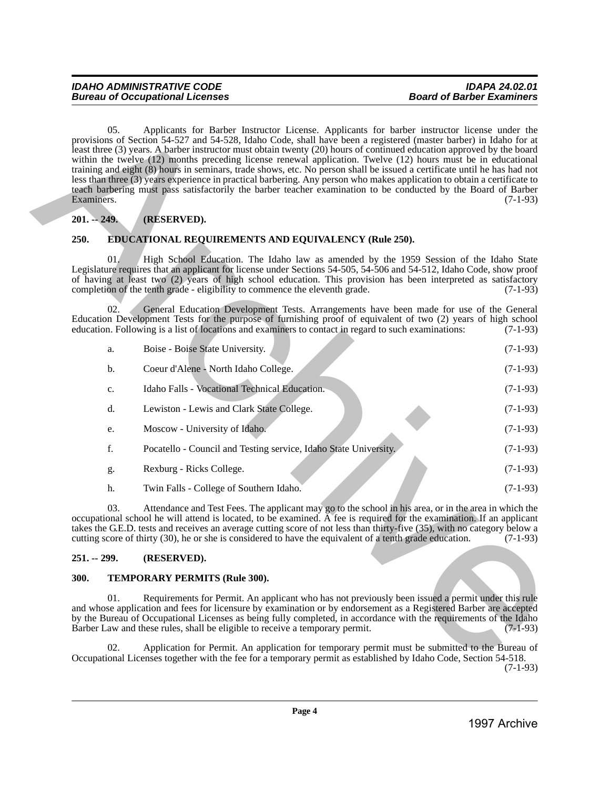#### <span id="page-3-0"></span>**201. -- 249. (RESERVED).**

#### <span id="page-3-1"></span>**250. EDUCATIONAL REQUIREMENTS AND EQUIVALENCY (Rule 250).**

| Examiners.    |     | provisions of Section 54-527 and 54-528, Idaho Code, shall have been a registered (master barber) in Idaho for at<br>least three (3) years. A barber instructor must obtain twenty (20) hours of continued education approved by the board<br>within the twelve (12) months preceding license renewal application. Twelve (12) hours must be in educational<br>training and eight (8) hours in seminars, trade shows, etc. No person shall be issued a certificate until he has had not<br>less than three (3) years experience in practical barbering. Any person who makes application to obtain a certificate to<br>teach barbering must pass satisfactorily the barber teacher examination to be conducted by the Board of Barber | $(7-1-93)$ |
|---------------|-----|---------------------------------------------------------------------------------------------------------------------------------------------------------------------------------------------------------------------------------------------------------------------------------------------------------------------------------------------------------------------------------------------------------------------------------------------------------------------------------------------------------------------------------------------------------------------------------------------------------------------------------------------------------------------------------------------------------------------------------------|------------|
| $201. - 249.$ |     | (RESERVED).                                                                                                                                                                                                                                                                                                                                                                                                                                                                                                                                                                                                                                                                                                                           |            |
| 250.          |     | <b>EDUCATIONAL REQUIREMENTS AND EQUIVALENCY (Rule 250).</b>                                                                                                                                                                                                                                                                                                                                                                                                                                                                                                                                                                                                                                                                           |            |
|               | 01. | High School Education. The Idaho law as amended by the 1959 Session of the Idaho State<br>Legislature requires that an applicant for license under Sections 54-505, 54-506 and 54-512, Idaho Code, show proof<br>of having at least two (2) years of high school education. This provision has been interpreted as satisfactory<br>completion of the tenth grade - eligibility to commence the eleventh grade.                                                                                                                                                                                                                                                                                                                        | $(7-1-93)$ |
|               | 02. | General Education Development Tests. Arrangements have been made for use of the General<br>Education Development Tests for the purpose of furnishing proof of equivalent of two (2) years of high school<br>education. Following is a list of locations and examiners to contact in regard to such examinations:                                                                                                                                                                                                                                                                                                                                                                                                                      | $(7-1-93)$ |
|               | a.  | Boise - Boise State University.                                                                                                                                                                                                                                                                                                                                                                                                                                                                                                                                                                                                                                                                                                       | $(7-1-93)$ |
|               | b.  | Coeur d'Alene - North Idaho College.                                                                                                                                                                                                                                                                                                                                                                                                                                                                                                                                                                                                                                                                                                  | $(7-1-93)$ |
|               | c.  | Idaho Falls - Vocational Technical Education.                                                                                                                                                                                                                                                                                                                                                                                                                                                                                                                                                                                                                                                                                         | $(7-1-93)$ |
|               | d.  | Lewiston - Lewis and Clark State College.                                                                                                                                                                                                                                                                                                                                                                                                                                                                                                                                                                                                                                                                                             | $(7-1-93)$ |
|               | e.  | Moscow - University of Idaho.                                                                                                                                                                                                                                                                                                                                                                                                                                                                                                                                                                                                                                                                                                         | $(7-1-93)$ |
|               | f.  | Pocatello - Council and Testing service, Idaho State University.                                                                                                                                                                                                                                                                                                                                                                                                                                                                                                                                                                                                                                                                      | $(7-1-93)$ |
|               | g.  | Rexburg - Ricks College.                                                                                                                                                                                                                                                                                                                                                                                                                                                                                                                                                                                                                                                                                                              | $(7-1-93)$ |
|               | h.  | Twin Falls - College of Southern Idaho.                                                                                                                                                                                                                                                                                                                                                                                                                                                                                                                                                                                                                                                                                               | $(7-1-93)$ |
|               | 03. | Attendance and Test Fees. The applicant may go to the school in his area, or in the area in which the<br>occupational school he will attend is located, to be examined. A fee is required for the examination. If an applicant<br>takes the G.E.D. tests and receives an average cutting score of not less than thirty-five (35), with no category below a<br>cutting score of thirty (30), he or she is considered to have the equivalent of a tenth grade education.                                                                                                                                                                                                                                                                | $(7-1-93)$ |
| $251. - 299.$ |     | (RESERVED).                                                                                                                                                                                                                                                                                                                                                                                                                                                                                                                                                                                                                                                                                                                           |            |
| 300.          |     | TEMPORARY PERMITS (Rule 300).                                                                                                                                                                                                                                                                                                                                                                                                                                                                                                                                                                                                                                                                                                         |            |
|               | 01. | Requirements for Permit. An applicant who has not previously been issued a permit under this rule<br>and whose application and fees for licensure by examination or by endorsement as a Registered Barber are accepted<br>by the Bureau of Occupational Licenses as being fully completed, in accordance with the requirements of the Idaho<br>Barber Law and these rules, shall be eligible to receive a temporary permit.                                                                                                                                                                                                                                                                                                           | $(7-1-93)$ |
|               | 02. | Application for Permit. An application for temporary permit must be submitted to the Bureau of<br>Occupational Licenses together with the fee for a temporary permit as established by Idaho Code, Section 54-518.                                                                                                                                                                                                                                                                                                                                                                                                                                                                                                                    | $(7-1-93)$ |
|               |     |                                                                                                                                                                                                                                                                                                                                                                                                                                                                                                                                                                                                                                                                                                                                       |            |

#### <span id="page-3-2"></span>**251. -- 299. (RESERVED).**

#### <span id="page-3-3"></span>**300. TEMPORARY PERMITS (Rule 300).**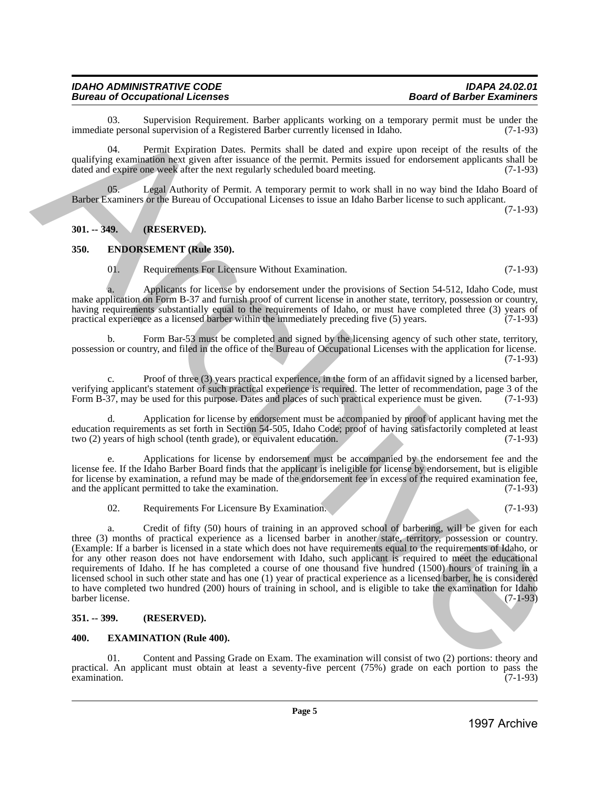#### *IDAHO ADMINISTRATIVE CODE IDAPA 24.02.01* **Bureau of Occupational Licenses**

03. Supervision Requirement. Barber applicants working on a temporary permit must be under the teners onal supervision of a Registered Barber currently licensed in Idaho. (7-1-93) immediate personal supervision of a Registered Barber currently licensed in Idaho.

04. Permit Expiration Dates. Permits shall be dated and expire upon receipt of the results of the qualifying examination next given after issuance of the permit. Permits issued for endorsement applicants shall be dated and expire one week after the next regularly scheduled board meeting. (7-1-93)

Legal Authority of Permit. A temporary permit to work shall in no way bind the Idaho Board of Barber Examiners or the Bureau of Occupational Licenses to issue an Idaho Barber license to such applicant. (7-1-93)

#### <span id="page-4-0"></span>**301. -- 349. (RESERVED).**

#### <span id="page-4-1"></span>**350. ENDORSEMENT (Rule 350).**

01. Requirements For Licensure Without Examination. (7-1-93)

a. Applicants for license by endorsement under the provisions of Section 54-512, Idaho Code, must make application on Form B-37 and furnish proof of current license in another state, territory, possession or country, having requirements substantially equal to the requirements of Idaho, or must have completed three (3) years of practical experience as a licensed barber within the immediately preceding five (5) years. (7-1-93) practical experience as a licensed barber within the immediately preceding five  $(5)$  years.

b. Form Bar-53 must be completed and signed by the licensing agency of such other state, territory, possession or country, and filed in the office of the Bureau of Occupational Licenses with the application for license.  $(7-1-93)$ 

c. Proof of three (3) years practical experience, in the form of an affidavit signed by a licensed barber, verifying applicant's statement of such practical experience is required. The letter of recommendation, page 3 of the Form B-37, may be used for this purpose. Dates and places of such practical experience must be given. (7 Form B-37, may be used for this purpose. Dates and places of such practical experience must be given.

d. Application for license by endorsement must be accompanied by proof of applicant having met the education requirements as set forth in Section 54-505, Idaho Code; proof of having satisfactorily completed at least two (2) years of high school (tenth grade), or equivalent education. (7-1-93) two (2) years of high school (tenth grade), or equivalent education.

Applications for license by endorsement must be accompanied by the endorsement fee and the license fee. If the Idaho Barber Board finds that the applicant is ineligible for license by endorsement, but is eligible for license by examination, a refund may be made of the endorsement fee in excess of the required examination fee, and the applicant permitted to take the examination.  $(7-1-93)$ and the applicant permitted to take the examination.

02. Requirements For Licensure By Examination. (7-1-93)

a. Credit of fifty (50) hours of training in an approved school of barbering, will be given for each three (3) months of practical experience as a licensed barber in another state, territory, possession or country. (Example: If a barber is licensed in a state which does not have requirements equal to the requirements of Idaho, or for any other reason does not have endorsement with Idaho, such applicant is required to meet the educational requirements of Idaho. If he has completed a course of one thousand five hundred (1500) hours of training in a licensed school in such other state and has one (1) year of practical experience as a licensed barber, he is considered to have completed two hundred (200) hours of training in school, and is eligible to take the examination for Idaho barber license. (7-1-93) 1997 Control and Source Control and Source Control and Source Control and Source Control and Source Control and Source Control and Source Control and Source Control and Source Control and Source Control and Source Contro

#### <span id="page-4-2"></span>**351. -- 399. (RESERVED).**

#### <span id="page-4-3"></span>**400. EXAMINATION (Rule 400).**

01. Content and Passing Grade on Exam. The examination will consist of two (2) portions: theory and practical. An applicant must obtain at least a seventy-five percent (75%) grade on each portion to pass the examination. (7-1-93)  $\alpha$  examination.  $(7-1-93)$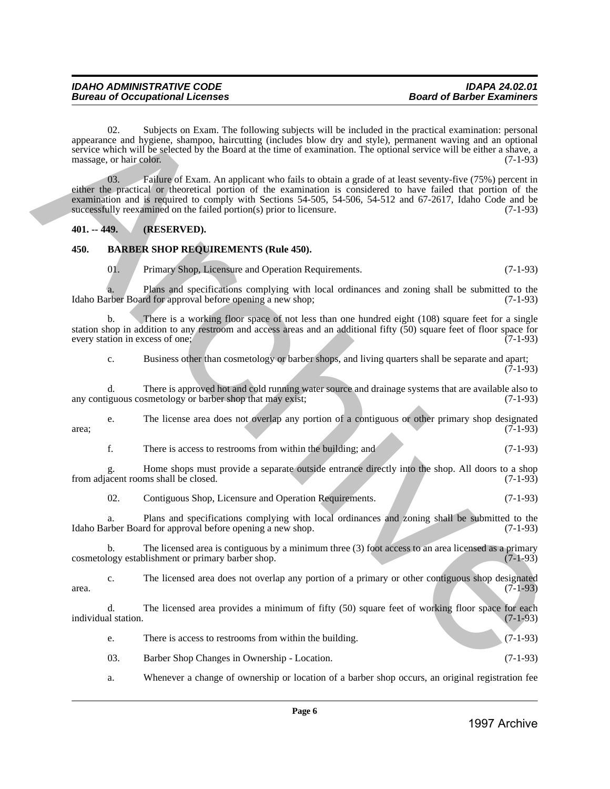02. Subjects on Exam. The following subjects will be included in the practical examination: personal appearance and hygiene, shampoo, haircutting (includes blow dry and style), permanent waving and an optional service which will be selected by the Board at the time of examination. The optional service will be either a shave, a massage, or hair color. (7-1-93) 1997 Annex (and the studies of the following entities will be leaded in the particle interesting in contact the studies in the studies of the studies in the studies of the studies of the studies of the studies of the stu

03. Failure of Exam. An applicant who fails to obtain a grade of at least seventy-five (75%) percent in either the practical or theoretical portion of the examination is considered to have failed that portion of the examination and is required to comply with Sections 54-505, 54-506, 54-512 and 67-2617, Idaho Code and be successfully reexamined on the failed portion(s) prior to licensure. (7-1-93)

#### <span id="page-5-0"></span>**401. -- 449. (RESERVED).**

#### <span id="page-5-1"></span>**450. BARBER SHOP REQUIREMENTS (Rule 450).**

01. Primary Shop, Licensure and Operation Requirements. (7-1-93)

a. Plans and specifications complying with local ordinances and zoning shall be submitted to the Idaho Barber Board for approval before opening a new shop; (7-1-93)

b. There is a working floor space of not less than one hundred eight (108) square feet for a single station shop in addition to any restroom and access areas and an additional fifty  $(50)$  square feet of floor space for every station in excess of one;  $(7-1-93)$ every station in excess of one;

c. Business other than cosmetology or barber shops, and living quarters shall be separate and apart;  $(7-1-93)$ 

d. There is approved hot and cold running water source and drainage systems that are available also to iguous cosmetology or barber shop that may exist; any contiguous cosmetology or barber shop that may exist;

e. The license area does not overlap any portion of a contiguous or other primary shop designated  $area;$  (7-1-93)

f. There is access to restrooms from within the building; and (7-1-93)

g. Home shops must provide a separate outside entrance directly into the shop. All doors to a shop from adjacent rooms shall be closed.

02. Contiguous Shop, Licensure and Operation Requirements. (7-1-93)

a. Plans and specifications complying with local ordinances and zoning shall be submitted to the Idaho Barber Board for approval before opening a new shop. (7-1-93)

b. The licensed area is contiguous by a minimum three (3) foot access to an area licensed as a primary logy establishment or primary barber shop.  $(7-1-93)$ cosmetology establishment or primary barber shop.

c. The licensed area does not overlap any portion of a primary or other contiguous shop designated  $area.$  (7-1-93)

d. The licensed area provides a minimum of fifty (50) square feet of working floor space for each al station. (7-1-93) individual station.

e. There is access to restrooms from within the building. (7-1-93)

03. Barber Shop Changes in Ownership - Location. (7-1-93)

a. Whenever a change of ownership or location of a barber shop occurs, an original registration fee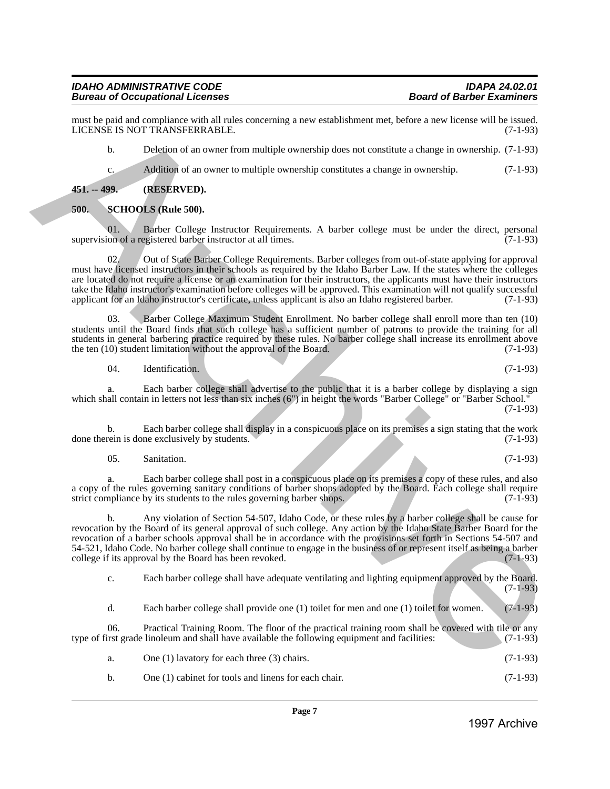#### *IDAHO ADMINISTRATIVE CODE IDAPA 24.02.01 Bureau of Occupational Licenses*

must be paid and compliance with all rules concerning a new establishment met, before a new license will be issued.<br>LICENSE IS NOT TRANSFERRABLE. (7-1-93) LICENSE IS NOT TRANSFERRABLE.

b. Deletion of an owner from multiple ownership does not constitute a change in ownership. (7-1-93)

c. Addition of an owner to multiple ownership constitutes a change in ownership. (7-1-93)

<span id="page-6-0"></span>**451. -- 499. (RESERVED).**

#### <span id="page-6-1"></span>**500. SCHOOLS (Rule 500).**

01. Barber College Instructor Requirements. A barber college must be under the direct, personal on of a registered barber instructor at all times. supervision of a registered barber instructor at all times.

02. Out of State Barber College Requirements. Barber colleges from out-of-state applying for approval must have licensed instructors in their schools as required by the Idaho Barber Law. If the states where the colleges are located do not require a license or an examination for their instructors, the applicants must have their instructors take the Idaho instructor's examination before colleges will be approved. This examination will not qualify successful applicant for an Idaho instructor's certificate, unless applicant is also an Idaho registered barber. (7-1-93)

03. Barber College Maximum Student Enrollment. No barber college shall enroll more than ten (10) students until the Board finds that such college has a sufficient number of patrons to provide the training for all students in general barbering practice required by these rules. No barber college shall increase its enrollment above<br>the ten (10) student limitation without the approval of the Board. (7-1-93) the ten  $(10)$  student limitation without the approval of the Board.

04. Identification. (7-1-93)

a. Each barber college shall advertise to the public that it is a barber college by displaying a sign which shall contain in letters not less than six inches (6") in height the words "Barber College" or "Barber School." (7-1-93)

b. Each barber college shall display in a conspicuous place on its premises a sign stating that the work rein is done exclusively by students. (7-1-93) done therein is done exclusively by students.

05. Sanitation. (7-1-93)

a. Each barber college shall post in a conspicuous place on its premises a copy of these rules, and also a copy of the rules governing sanitary conditions of barber shops adopted by the Board. Each college shall require strict compliance by its students to the rules governing barber shops. (7-1-93) strict compliance by its students to the rules governing barber shops.

b. Any violation of Section 54-507, Idaho Code, or these rules by a barber college shall be cause for revocation by the Board of its general approval of such college. Any action by the Idaho State Barber Board for the revocation of a barber schools approval shall be in accordance with the provisions set forth in Sections 54-507 and 54-521, Idaho Code. No barber college shall continue to engage in the business of or represent itself as being a barber college if its approval by the Board has been revoked. (7-1-93) college if its approval by the Board has been revoked. In the gradient of solid and more consisting a new stablishment and, below a me- keene sell by stable<br>
1997 Archive Archive Archive Archive Archive Archive Archive Archive Archive Archive Archive Archive Archive Archive

c. Each barber college shall have adequate ventilating and lighting equipment approved by the Board. (7-1-93)

d. Each barber college shall provide one (1) toilet for men and one (1) toilet for women. (7-1-93)

06. Practical Training Room. The floor of the practical training room shall be covered with tile or any list grade linoleum and shall have available the following equipment and facilities: (7-1-93) type of first grade linoleum and shall have available the following equipment and facilities:

| One $(1)$ lavatory for each three $(3)$ chairs. | $(7-1-93)$ |  |
|-------------------------------------------------|------------|--|
|                                                 |            |  |

b. One (1) cabinet for tools and linens for each chair. (7-1-93)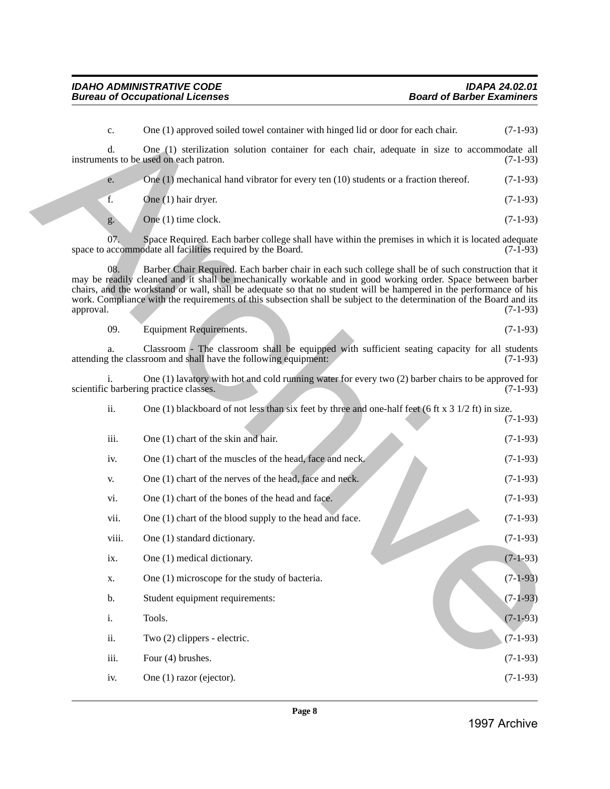c. One (1) approved soiled towel container with hinged lid or door for each chair. (7-1-93) d. One (1) sterilization solution container for each chair, adequate in size to accommodate all nts to be used on each patron. (7-1-93) instruments to be used on each patron. e. One (1) mechanical hand vibrator for every ten (10) students or a fraction thereof. (7-1-93) f. One (1) hair dryer. (7-1-93) g. One (1) time clock.  $(7-1-93)$ 07. Space Required. Each barber college shall have within the premises in which it is located adequate accommodate all facilities required by the Board. (7-1-93) space to accommodate all facilities required by the Board. 08. Barber Chair Required. Each barber chair in each such college shall be of such construction that it may be readily cleaned and it shall be mechanically workable and in good working order. Space between barber chairs, and the workstand or wall, shall be adequate so that no student will be hampered in the performance of his work. Compliance with the requirements of this subsection shall be subject to the determination of the Board and its approval. (7-1-93) approval. (7-1-93) 09. Equipment Requirements. (7-1-93) a. Classroom - The classroom shall be equipped with sufficient seating capacity for all students the classroom and shall have the following equipment: (7-1-93) attending the classroom and shall have the following equipment: i. One (1) lavatory with hot and cold running water for every two (2) barber chairs to be approved for scientific barbering practice classes. ii. One (1) blackboard of not less than six feet by three and one-half feet (6 ft x 3 1/2 ft) in size. (7-1-93) iii. One  $(1)$  chart of the skin and hair. (7-1-93) iv. One (1) chart of the muscles of the head, face and neck. (7-1-93) v. One (1) chart of the nerves of the head, face and neck.  $(7-1-93)$ vi. One (1) chart of the bones of the head and face.  $(7-1-93)$ vii. One (1) chart of the blood supply to the head and face.  $(7-1-93)$ viii. One (1) standard dictionary. (7-1-93) ix. One (1) medical dictionary.  $(7-1-93)$ x. One (1) microscope for the study of bacteria.  $(7-1-93)$ b. Student equipment requirements: (7-1-93) i. Tools.  $(7-1-93)$ ii. Two  $(2)$  clippers - electric.  $(7-1-93)$ iii. Four  $(4)$  brushes.  $(7-1-93)$ iv. One (1) razor (ejector).  $(7-1-93)$ C one (1) approved scaled towal container with higgsel lid of one for each chain (i) (3-1-95)<br>
incorrection be small as column to contain the container for each chain, adopted in since to accompany (1), it<br>
of the chain s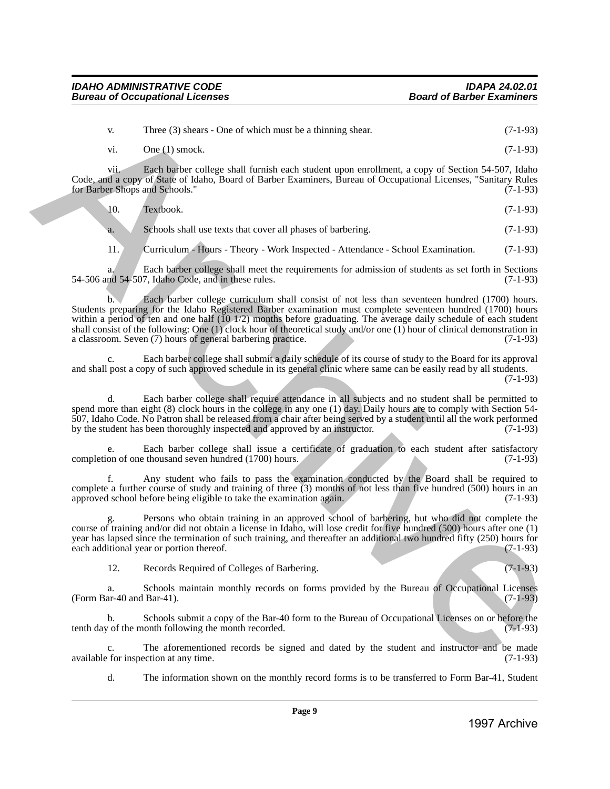v. Three (3) shears - One of which must be a thinning shear. (7-1-93) vi. One (1) smock.  $(7-1-93)$ 

vii. Each barber college shall furnish each student upon enrollment, a copy of Section 54-507, Idaho Code, and a copy of State of Idaho, Board of Barber Examiners, Bureau of Occupational Licenses, "Sanitary Rules for Barber Shops and Schools." (7-1-93)

10. Textbook. (7-1-93)

a. Schools shall use texts that cover all phases of barbering. (7-1-93)

11. Curriculum - Hours - Theory - Work Inspected - Attendance - School Examination. (7-1-93)

a. Each barber college shall meet the requirements for admission of students as set forth in Sections nd 54-507, Idaho Code, and in these rules. (7-1-93) 54-506 and 54-507, Idaho Code, and in these rules.

b. Each barber college curriculum shall consist of not less than seventeen hundred (1700) hours. Students preparing for the Idaho Registered Barber examination must complete seventeen hundred (1700) hours within a period of ten and one half (10 1/2) months before graduating. The average daily schedule of each student shall consist of the following: One (1) clock hour of theoretical study and/or one (1) hour of clinical demonstration in a classroom. Seven (7) hours of general barbering practice.  $(7-1-93)$ a classroom. Seven (7) hours of general barbering practice. There (3) shears - Duce of which must be a shaning shear.<br>
(7-1-95)<br>
(7-1-95)<br>
(1-1-95)<br>
Contains a Payable Tower also end the state of shear and more through the state (8) (1-95)<br>
Contains a payable of labor Functions, h

Each barber college shall submit a daily schedule of its course of study to the Board for its approval and shall post a copy of such approved schedule in its general clinic where same can be easily read by all students. (7-1-93)

d. Each barber college shall require attendance in all subjects and no student shall be permitted to spend more than eight (8) clock hours in the college in any one (1) day. Daily hours are to comply with Section 54- 507, Idaho Code. No Patron shall be released from a chair after being served by a student until all the work performed by the student has been thoroughly inspected and approved by an instructor. (7-1-93)

e. Each barber college shall issue a certificate of graduation to each student after satisfactory on of one thousand seven hundred (1700) hours. completion of one thousand seven hundred (1700) hours.

f. Any student who fails to pass the examination conducted by the Board shall be required to complete a further course of study and training of three (3) months of not less than five hundred (500) hours in an approved school before being eligible to take the examination again. (7-1-93)

g. Persons who obtain training in an approved school of barbering, but who did not complete the course of training and/or did not obtain a license in Idaho, will lose credit for five hundred (500) hours after one (1) year has lapsed since the termination of such training, and thereafter an additional two hundred fifty (250) hours for each additional year or portion thereof. (7-1-93) each additional year or portion thereof.

12. Records Required of Colleges of Barbering. (7-1-93)

a. Schools maintain monthly records on forms provided by the Bureau of Occupational Licenses (Form Bar-40 and Bar-41).

b. Schools submit a copy of the Bar-40 form to the Bureau of Occupational Licenses on or before the tenth day of the month following the month recorded. (7-1-93)

c. The aforementioned records be signed and dated by the student and instructor and be made<br>for inspection at any time. (7-1-93) available for inspection at any time.

d. The information shown on the monthly record forms is to be transferred to Form Bar-41, Student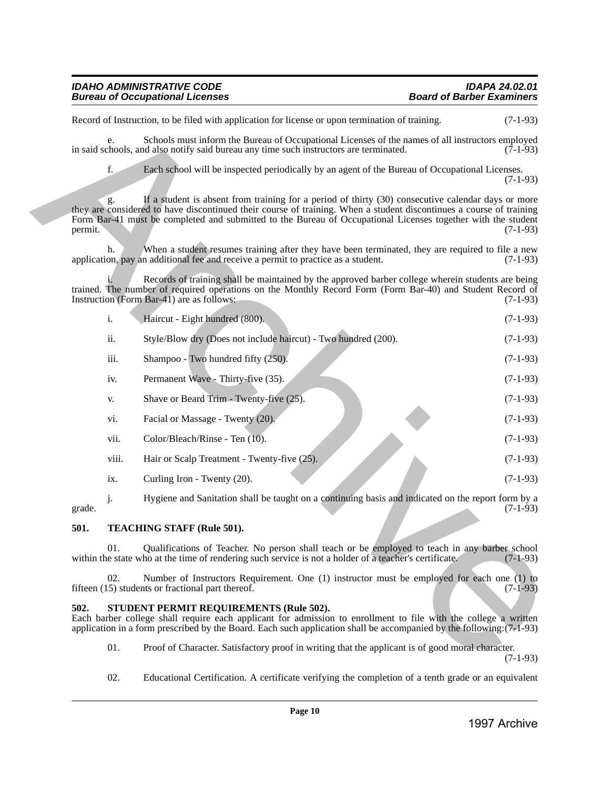| <b>IDAHO ADMINISTRATIVE CODE</b>       | <b>IDAPA 24.02.01</b>            |
|----------------------------------------|----------------------------------|
| <b>Bureau of Occupational Licenses</b> | <b>Board of Barber Examiners</b> |

|         |       | Record of Instruction, to be filed with application for license or upon termination of training.                                                                                                                                                                                                                                          | $(7-1-93)$   |
|---------|-------|-------------------------------------------------------------------------------------------------------------------------------------------------------------------------------------------------------------------------------------------------------------------------------------------------------------------------------------------|--------------|
|         | e.    | Schools must inform the Bureau of Occupational Licenses of the names of all instructors employed<br>in said schools, and also notify said bureau any time such instructors are terminated.                                                                                                                                                | $(7-1-93)$   |
|         | f.    | Each school will be inspected periodically by an agent of the Bureau of Occupational Licenses.                                                                                                                                                                                                                                            | $(7-1-93)$   |
| permit. | g.    | If a student is absent from training for a period of thirty (30) consecutive calendar days or more<br>they are considered to have discontinued their course of training. When a student discontinues a course of training<br>Form Bar-41 must be completed and submitted to the Bureau of Occupational Licenses together with the student | $(7-1-93)$   |
|         | h.    | When a student resumes training after they have been terminated, they are required to file a new<br>application, pay an additional fee and receive a permit to practice as a student.                                                                                                                                                     | $(7-1-93)$   |
|         |       | Records of training shall be maintained by the approved barber college wherein students are being<br>trained. The number of required operations on the Monthly Record Form (Form Bar-40) and Student Record of<br>Instruction (Form Bar-41) are as follows:                                                                               | $(7-1-93)$   |
|         | i.    | Haircut - Eight hundred (800).                                                                                                                                                                                                                                                                                                            | $(7-1-93)$   |
|         | ii.   | Style/Blow dry (Does not include haircut) - Two hundred (200).                                                                                                                                                                                                                                                                            | $(7-1-93)$   |
|         | iii.  | Shampoo - Two hundred fifty (250).                                                                                                                                                                                                                                                                                                        | $(7-1-93)$   |
|         | iv.   | Permanent Wave - Thirty-five (35).                                                                                                                                                                                                                                                                                                        | $(7-1-93)$   |
|         | V.    | Shave or Beard Trim - Twenty-five (25).                                                                                                                                                                                                                                                                                                   | $(7-1-93)$   |
|         | vi.   | Facial or Massage - Twenty (20).                                                                                                                                                                                                                                                                                                          | $(7-1-93)$   |
|         | vii.  | Color/Bleach/Rinse - Ten (10).                                                                                                                                                                                                                                                                                                            | $(7-1-93)$   |
|         | viii. | Hair or Scalp Treatment - Twenty-five (25).                                                                                                                                                                                                                                                                                               | $(7-1-93)$   |
|         | ix.   | Curling Iron - Twenty (20).                                                                                                                                                                                                                                                                                                               | $(7-1-93)$   |
| grade.  | j.    | Hygiene and Sanitation shall be taught on a continuing basis and indicated on the report form by a                                                                                                                                                                                                                                        | $(7-1-93)$   |
| 501.    |       | TEACHING STAFF (Rule 501).                                                                                                                                                                                                                                                                                                                |              |
|         | 01.   | Qualifications of Teacher. No person shall teach or be employed to teach in any barber school<br>within the state who at the time of rendering such service is not a holder of a teacher's certificate.                                                                                                                                   | $(7-1-93)$   |
|         | 02.   | Number of Instructors Requirement. One (1) instructor must be employed for each one (1) to<br>fifteen (15) students or fractional part thereof.                                                                                                                                                                                           | $(7-1-93)$   |
| 502.    |       | STUDENT PERMIT REQUIREMENTS (Rule 502).<br>Each barber college shall require each applicant for admission to enrollment to file with the college a written<br>application in a form prescribed by the Board. Each such application shall be accompanied by the following: (7-1-93)                                                        |              |
|         | 01.   | Proof of Character. Satisfactory proof in writing that the applicant is of good moral character.                                                                                                                                                                                                                                          | $(7-1-93)$   |
|         | 02.   | Educational Certification. A certificate verifying the completion of a tenth grade or an equivalent                                                                                                                                                                                                                                       |              |
|         |       | Page 10                                                                                                                                                                                                                                                                                                                                   |              |
|         |       |                                                                                                                                                                                                                                                                                                                                           | 1997 Archive |

#### <span id="page-9-0"></span>**501. TEACHING STAFF (Rule 501).**

#### <span id="page-9-1"></span>**502. STUDENT PERMIT REQUIREMENTS (Rule 502).**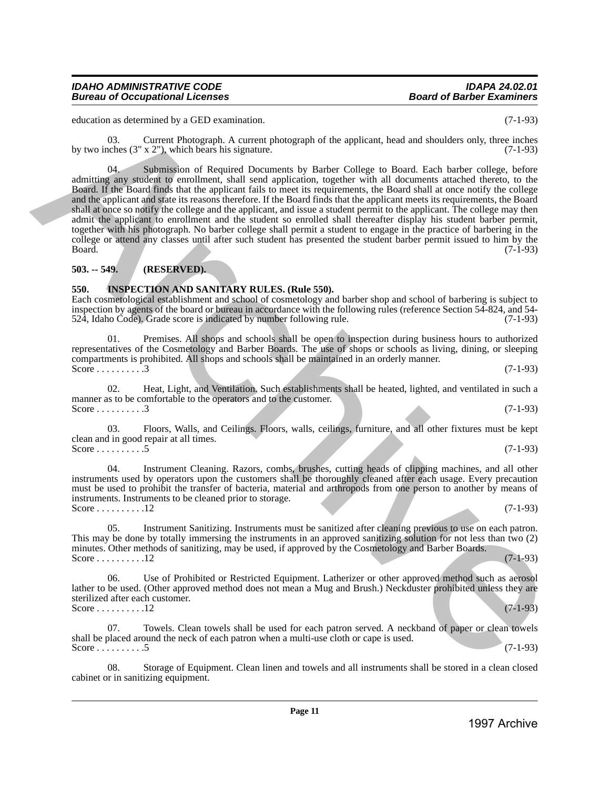education as determined by a GED examination. (7-1-93)

03. Current Photograph. A current photograph of the applicant, head and shoulders only, three inches by two inches  $(3'' \times 2'')$ , which bears his signature. (7-1-93)

04. Submission of Required Documents by Barber College to Board. Each barber college, before admitting any student to enrollment, shall send application, together with all documents attached thereto, to the Board. If the Board finds that the applicant fails to meet its requirements, the Board shall at once notify the college and the applicant and state its reasons therefore. If the Board finds that the applicant meets its requirements, the Board shall at once so notify the college and the applicant, and issue a student permit to the applicant. The college may then admit the applicant to enrollment and the student so enrolled shall thereafter display his student barber permit, together with his photograph. No barber college shall permit a student to engage in the practice of barbering in the college or attend any classes until after such student has presented the student barber permit issued to him by the Board. (7-1-93)  $Board.$  (7-1-93) electrics as documentation of EU-25) and Continuosities and the spherical continuosities are not the spherical continuosities and the spherical continuosities (7-1-50) by two significant in the spherical continuosities (

#### <span id="page-10-0"></span>**503. -- 549. (RESERVED).**

#### <span id="page-10-1"></span>**550. INSPECTION AND SANITARY RULES. (Rule 550).**

Each cosmetological establishment and school of cosmetology and barber shop and school of barbering is subject to inspection by agents of the board or bureau in accordance with the following rules (reference Section 54-824, and 54-<br>524, Idaho Code). Grade score is indicated by number following rule. (7-1-93) 524, Idaho Code). Grade score is indicated by number following rule.

01. Premises. All shops and schools shall be open to inspection during business hours to authorized representatives of the Cosmetology and Barber Boards. The use of shops or schools as living, dining, or sleeping compartments is prohibited. All shops and schools shall be maintained in an orderly manner. Score . . . . . . . . . . . . . 3 (7-1-93)

02. Heat, Light, and Ventilation. Such establishments shall be heated, lighted, and ventilated in such a manner as to be comfortable to the operators and to the customer. Score . . . . . . . . . 3 (7-1-93)

03. Floors, Walls, and Ceilings. Floors, walls, ceilings, furniture, and all other fixtures must be kept clean and in good repair at all times. Score . . . . . . . . . 5 (7-1-93)

04. Instrument Cleaning. Razors, combs, brushes, cutting heads of clipping machines, and all other instruments used by operators upon the customers shall be thoroughly cleaned after each usage. Every precaution must be used to prohibit the transfer of bacteria, material and arthropods from one person to another by means of instruments. Instruments to be cleaned prior to storage. Score . . . . . . . . . . 12 (7-1-93)

Instrument Sanitizing. Instruments must be sanitized after cleaning previous to use on each patron. This may be done by totally immersing the instruments in an approved sanitizing solution for not less than two (2) minutes. Other methods of sanitizing, may be used, if approved by the Cosmetology and Barber Boards. Score . . . . . . . . . . 12 (7-1-93)

06. Use of Prohibited or Restricted Equipment. Latherizer or other approved method such as aerosol lather to be used. (Other approved method does not mean a Mug and Brush.) Neckduster prohibited unless they are sterilized after each customer. Score . . . . . . . . . . 12 (7-1-93)

Towels. Clean towels shall be used for each patron served. A neckband of paper or clean towels shall be placed around the neck of each patron when a multi-use cloth or cape is used. Score . . . . . . . . . 5 (7-1-93)

08. Storage of Equipment. Clean linen and towels and all instruments shall be stored in a clean closed cabinet or in sanitizing equipment.